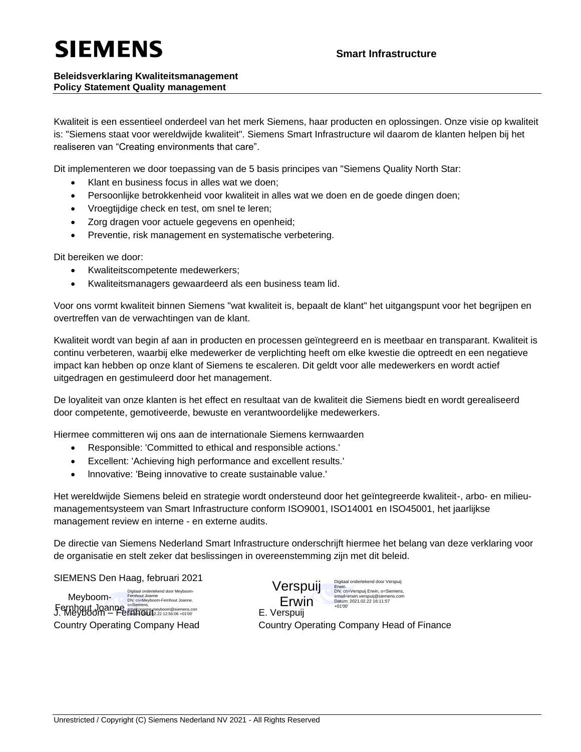## **SIEMENS**

## **Beleidsverklaring Kwaliteitsmanagement Policy Statement Quality management**

Kwaliteit is een essentieel onderdeel van het merk Siemens, haar producten en oplossingen. Onze visie op kwaliteit is: "Siemens staat voor wereldwijde kwaliteit". Siemens Smart Infrastructure wil daarom de klanten helpen bij het realiseren van "Creating environments that care".

Dit implementeren we door toepassing van de 5 basis principes van "Siemens Quality North Star:

- Klant en business focus in alles wat we doen;
- Persoonlijke betrokkenheid voor kwaliteit in alles wat we doen en de goede dingen doen;
- Vroegtijdige check en test, om snel te leren;
- Zorg dragen voor actuele gegevens en openheid;
- Preventie, risk management en systematische verbetering.

Dit bereiken we door:

- Kwaliteitscompetente medewerkers;
- Kwaliteitsmanagers gewaardeerd als een business team lid.

Voor ons vormt kwaliteit binnen Siemens "wat kwaliteit is, bepaalt de klant" het uitgangspunt voor het begrijpen en overtreffen van de verwachtingen van de klant.

Kwaliteit wordt van begin af aan in producten en processen geïntegreerd en is meetbaar en transparant. Kwaliteit is continu verbeteren, waarbij elke medewerker de verplichting heeft om elke kwestie die optreedt en een negatieve impact kan hebben op onze klant of Siemens te escaleren. Dit geldt voor alle medewerkers en wordt actief uitgedragen en gestimuleerd door het management.

De loyaliteit van onze klanten is het effect en resultaat van de kwaliteit die Siemens biedt en wordt gerealiseerd door competente, gemotiveerde, bewuste en verantwoordelijke medewerkers.

Hiermee committeren wij ons aan de internationale Siemens kernwaarden

- Responsible: 'Committed to ethical and responsible actions.'
- Excellent: 'Achieving high performance and excellent results.'
- lnnovative: 'Being innovative to create sustainable value.'

Het wereldwijde Siemens beleid en strategie wordt ondersteund door het geïntegreerde kwaliteit-, arbo- en milieumanagementsysteem van Smart Infrastructure conform ISO9001, ISO14001 en ISO45001, het jaarlijkse management review en interne - en externe audits.

De directie van Siemens Nederland Smart Infrastructure onderschrijft hiermee het belang van deze verklaring voor de organisatie en stelt zeker dat beslissingen in overeenstemming zijn met dit beleid.

SIEMENS Den Haag, februari 2021

**Fernhout Joanne.** Siemens, expression@siemens.com and **E. Verspuij**<br>J. Meyboom – Fem**ail@ut**e.22 12:56:06 +01'00' E. Verspuij Digitaal ondertekend door Meyboom-Fernhout Joanne DN: cn=Meyboom-Fernhout Joanne, Meyboom-

igitaal ondertekend door Verspuij Erwin DN: cn=Verspuij Erwin, o=Siemens, email=erwin.verspuij@siemens.com Datum: 2021.02.22 16:11:57 +01'00' Verspuij Erwin<br>E. Verspuij

Country Operating Company Head Country Operating Company Head of Finance